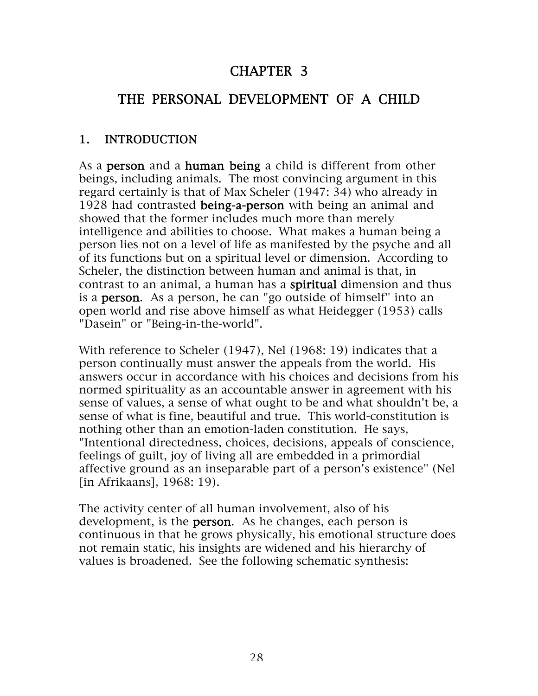# CHAPTER 3

# THE PERSONAL DEVELOPMENT OF A CHILD

#### 1. INTRODUCTION

As a **person** and a **human being** a child is different from other beings, including animals. The most convincing argument in this regard certainly is that of Max Scheler (1947: 34) who already in 1928 had contrasted being-a-person with being an animal and showed that the former includes much more than merely intelligence and abilities to choose. What makes a human being a person lies not on a level of life as manifested by the psyche and all of its functions but on a spiritual level or dimension. According to Scheler, the distinction between human and animal is that, in contrast to an animal, a human has a spiritual dimension and thus is a person. As a person, he can "go outside of himself" into an open world and rise above himself as what Heidegger (1953) calls "Dasein" or "Being-in-the-world".

With reference to Scheler (1947), Nel (1968: 19) indicates that a person continually must answer the appeals from the world. His answers occur in accordance with his choices and decisions from his normed spirituality as an accountable answer in agreement with his sense of values, a sense of what ought to be and what shouldn't be, a sense of what is fine, beautiful and true. This world-constitution is nothing other than an emotion-laden constitution. He says, "Intentional directedness, choices, decisions, appeals of conscience, feelings of guilt, joy of living all are embedded in a primordial affective ground as an inseparable part of a person's existence" (Nel [in Afrikaans], 1968: 19).

The activity center of all human involvement, also of his development, is the **person**. As he changes, each person is continuous in that he grows physically, his emotional structure does not remain static, his insights are widened and his hierarchy of values is broadened. See the following schematic synthesis: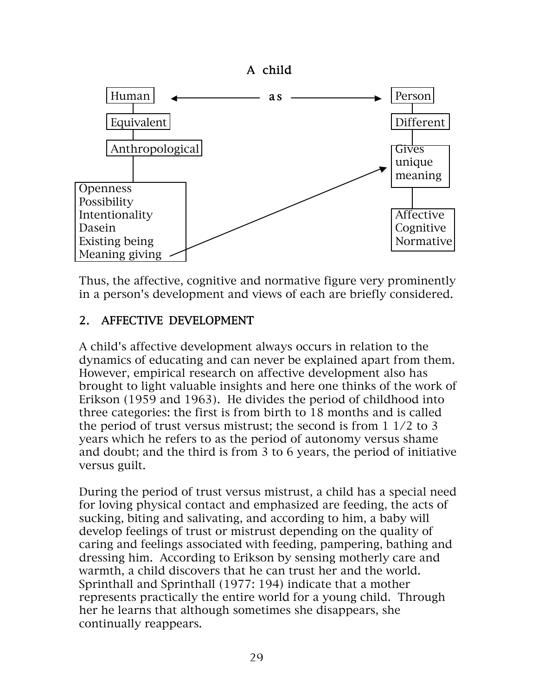

Thus, the affective, cognitive and normative figure very prominently in a person's development and views of each are briefly considered.

### 2. AFFECTIVE DEVELOPMENT

A child's affective development always occurs in relation to the dynamics of educating and can never be explained apart from them. However, empirical research on affective development also has brought to light valuable insights and here one thinks of the work of Erikson (1959 and 1963). He divides the period of childhood into three categories: the first is from birth to 18 months and is called the period of trust versus mistrust; the second is from 1 1/2 to 3 years which he refers to as the period of autonomy versus shame and doubt; and the third is from 3 to 6 years, the period of initiative versus guilt.

During the period of trust versus mistrust, a child has a special need for loving physical contact and emphasized are feeding, the acts of sucking, biting and salivating, and according to him, a baby will develop feelings of trust or mistrust depending on the quality of caring and feelings associated with feeding, pampering, bathing and dressing him. According to Erikson by sensing motherly care and warmth, a child discovers that he can trust her and the world. Sprinthall and Sprinthall (1977: 194) indicate that a mother represents practically the entire world for a young child. Through her he learns that although sometimes she disappears, she continually reappears.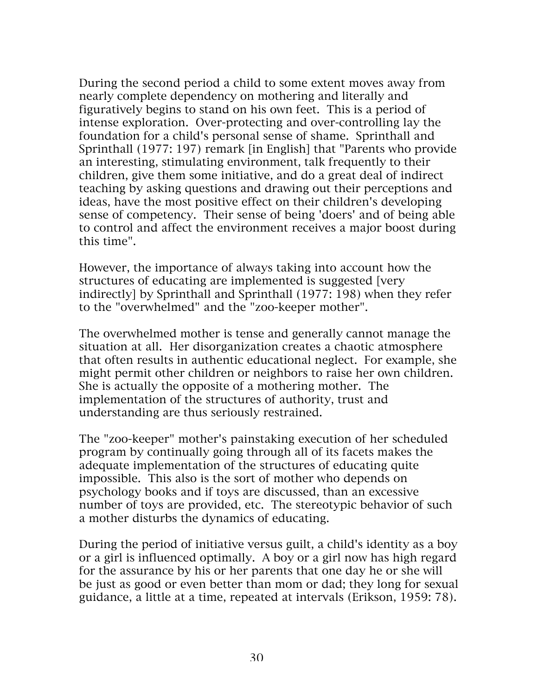During the second period a child to some extent moves away from nearly complete dependency on mothering and literally and figuratively begins to stand on his own feet. This is a period of intense exploration. Over-protecting and over-controlling lay the foundation for a child's personal sense of shame. Sprinthall and Sprinthall (1977: 197) remark [in English] that "Parents who provide an interesting, stimulating environment, talk frequently to their children, give them some initiative, and do a great deal of indirect teaching by asking questions and drawing out their perceptions and ideas, have the most positive effect on their children's developing sense of competency. Their sense of being 'doers' and of being able to control and affect the environment receives a major boost during this time".

However, the importance of always taking into account how the structures of educating are implemented is suggested [very indirectly] by Sprinthall and Sprinthall (1977: 198) when they refer to the "overwhelmed" and the "zoo-keeper mother".

The overwhelmed mother is tense and generally cannot manage the situation at all. Her disorganization creates a chaotic atmosphere that often results in authentic educational neglect. For example, she might permit other children or neighbors to raise her own children. She is actually the opposite of a mothering mother. The implementation of the structures of authority, trust and understanding are thus seriously restrained.

The "zoo-keeper" mother's painstaking execution of her scheduled program by continually going through all of its facets makes the adequate implementation of the structures of educating quite impossible. This also is the sort of mother who depends on psychology books and if toys are discussed, than an excessive number of toys are provided, etc. The stereotypic behavior of such a mother disturbs the dynamics of educating.

During the period of initiative versus guilt, a child's identity as a boy or a girl is influenced optimally. A boy or a girl now has high regard for the assurance by his or her parents that one day he or she will be just as good or even better than mom or dad; they long for sexual guidance, a little at a time, repeated at intervals (Erikson, 1959: 78).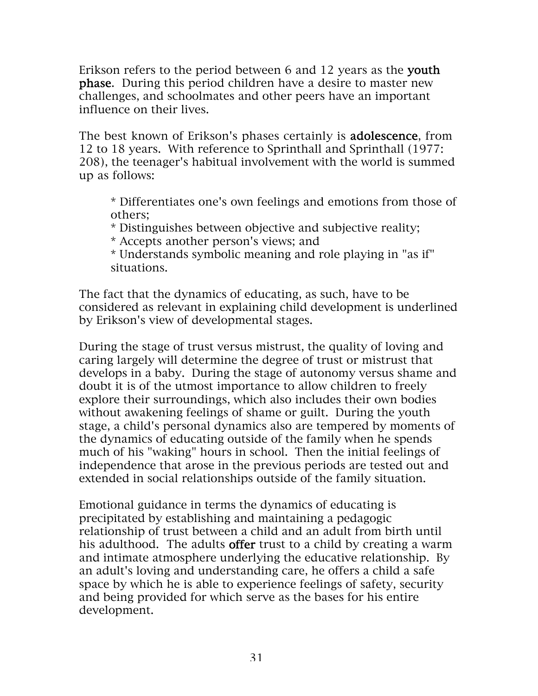Erikson refers to the period between 6 and 12 years as the youth phase. During this period children have a desire to master new challenges, and schoolmates and other peers have an important influence on their lives.

The best known of Erikson's phases certainly is **adolescence**, from 12 to 18 years. With reference to Sprinthall and Sprinthall (1977: 208), the teenager's habitual involvement with the world is summed up as follows:

\* Differentiates one's own feelings and emotions from those of others;

\* Distinguishes between objective and subjective reality;

\* Accepts another person's views; and

\* Understands symbolic meaning and role playing in "as if" situations.

The fact that the dynamics of educating, as such, have to be considered as relevant in explaining child development is underlined by Erikson's view of developmental stages.

During the stage of trust versus mistrust, the quality of loving and caring largely will determine the degree of trust or mistrust that develops in a baby. During the stage of autonomy versus shame and doubt it is of the utmost importance to allow children to freely explore their surroundings, which also includes their own bodies without awakening feelings of shame or guilt. During the youth stage, a child's personal dynamics also are tempered by moments of the dynamics of educating outside of the family when he spends much of his "waking" hours in school. Then the initial feelings of independence that arose in the previous periods are tested out and extended in social relationships outside of the family situation.

Emotional guidance in terms the dynamics of educating is precipitated by establishing and maintaining a pedagogic relationship of trust between a child and an adult from birth until his adulthood. The adults offer trust to a child by creating a warm and intimate atmosphere underlying the educative relationship. By an adult's loving and understanding care, he offers a child a safe space by which he is able to experience feelings of safety, security and being provided for which serve as the bases for his entire development.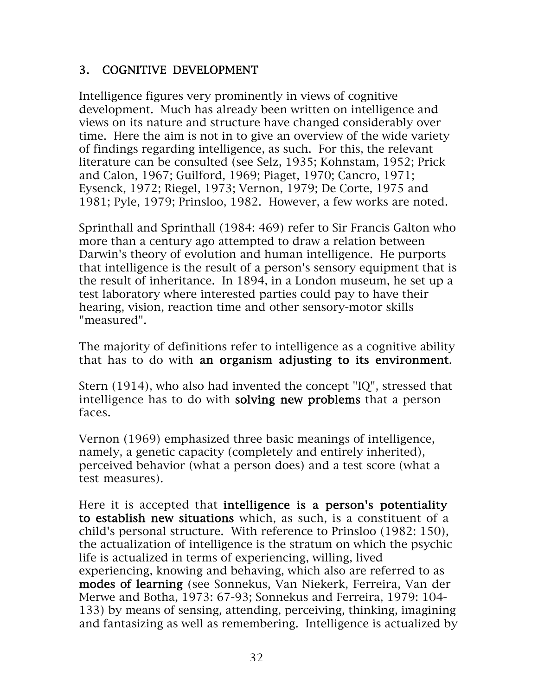#### 3. COGNITIVE DEVELOPMENT

Intelligence figures very prominently in views of cognitive development. Much has already been written on intelligence and views on its nature and structure have changed considerably over time. Here the aim is not in to give an overview of the wide variety of findings regarding intelligence, as such. For this, the relevant literature can be consulted (see Selz, 1935; Kohnstam, 1952; Prick and Calon, 1967; Guilford, 1969; Piaget, 1970; Cancro, 1971; Eysenck, 1972; Riegel, 1973; Vernon, 1979; De Corte, 1975 and 1981; Pyle, 1979; Prinsloo, 1982. However, a few works are noted.

Sprinthall and Sprinthall (1984: 469) refer to Sir Francis Galton who more than a century ago attempted to draw a relation between Darwin's theory of evolution and human intelligence. He purports that intelligence is the result of a person's sensory equipment that is the result of inheritance. In 1894, in a London museum, he set up a test laboratory where interested parties could pay to have their hearing, vision, reaction time and other sensory-motor skills "measured".

The majority of definitions refer to intelligence as a cognitive ability that has to do with an organism adjusting to its environment.

Stern (1914), who also had invented the concept "IQ", stressed that intelligence has to do with solving new problems that a person faces.

Vernon (1969) emphasized three basic meanings of intelligence, namely, a genetic capacity (completely and entirely inherited), perceived behavior (what a person does) and a test score (what a test measures).

Here it is accepted that intelligence is a person's potentiality to establish new situations which, as such, is a constituent of a child's personal structure. With reference to Prinsloo (1982: 150), the actualization of intelligence is the stratum on which the psychic life is actualized in terms of experiencing, willing, lived experiencing, knowing and behaving, which also are referred to as modes of learning (see Sonnekus, Van Niekerk, Ferreira, Van der Merwe and Botha, 1973: 67-93; Sonnekus and Ferreira, 1979: 104- 133) by means of sensing, attending, perceiving, thinking, imagining and fantasizing as well as remembering. Intelligence is actualized by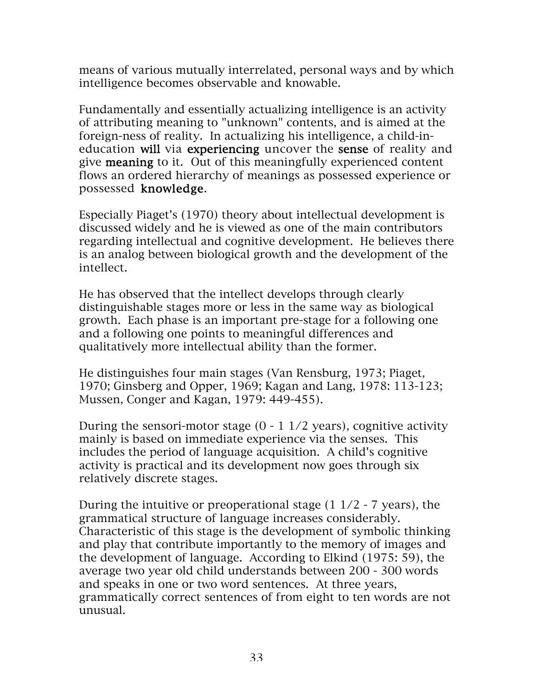means of various mutually interrelated, personal ways and by which intelligence becomes observable and knowable.

Fundamentally and essentially actualizing intelligence is an activity of attributing meaning to "unknown" contents, and is aimed at the foreign-ness of reality. In actualizing his intelligence, a child-ineducation will via experiencing uncover the sense of reality and give meaning to it. Out of this meaningfully experienced content flows an ordered hierarchy of meanings as possessed experience or possessed knowledge.

Especially Piaget's (1970) theory about intellectual development is discussed widely and he is viewed as one of the main contributors regarding intellectual and cognitive development. He believes there is an analog between biological growth and the development of the intellect.

He has observed that the intellect develops through clearly distinguishable stages more or less in the same way as biological growth. Each phase is an important pre-stage for a following one and a following one points to meaningful differences and qualitatively more intellectual ability than the former.

He distinguishes four main stages (Van Rensburg, 1973; Piaget, 1970; Ginsberg and Opper, 1969; Kagan and Lang, 1978: 113-123; Mussen, Conger and Kagan, 1979: 449-455).

During the sensori-motor stage  $(0 - 1 \frac{1}{2} \text{ years})$ , cognitive activity mainly is based on immediate experience via the senses. This includes the period of language acquisition. A child's cognitive activity is practical and its development now goes through six relatively discrete stages.

During the intuitive or preoperational stage  $(1\ 1/2 - 7\ \text{years})$ , the grammatical structure of language increases considerably. Characteristic of this stage is the development of symbolic thinking and play that contribute importantly to the memory of images and the development of language. According to Elkind (1975: 59), the average two year old child understands between 200 - 300 words and speaks in one or two word sentences. At three years, grammatically correct sentences of from eight to ten words are not unusual.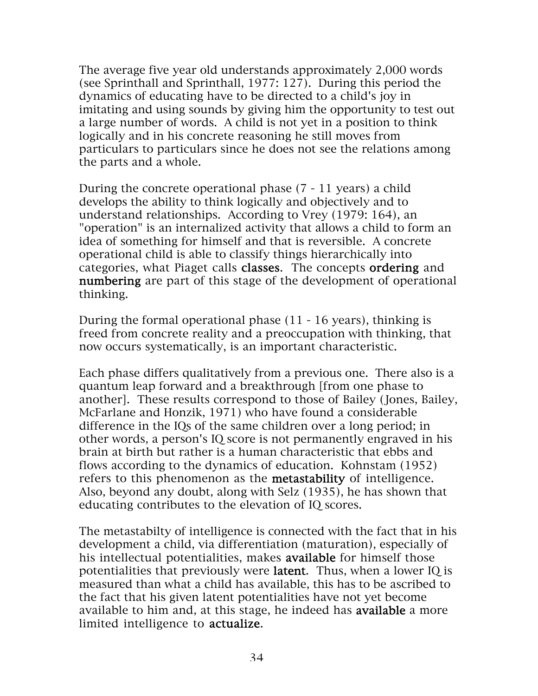The average five year old understands approximately 2,000 words (see Sprinthall and Sprinthall, 1977: 127). During this period the dynamics of educating have to be directed to a child's joy in imitating and using sounds by giving him the opportunity to test out a large number of words. A child is not yet in a position to think logically and in his concrete reasoning he still moves from particulars to particulars since he does not see the relations among the parts and a whole.

During the concrete operational phase (7 - 11 years) a child develops the ability to think logically and objectively and to understand relationships. According to Vrey (1979: 164), an "operation" is an internalized activity that allows a child to form an idea of something for himself and that is reversible. A concrete operational child is able to classify things hierarchically into categories, what Piaget calls classes. The concepts ordering and numbering are part of this stage of the development of operational thinking.

During the formal operational phase (11 - 16 years), thinking is freed from concrete reality and a preoccupation with thinking, that now occurs systematically, is an important characteristic.

Each phase differs qualitatively from a previous one. There also is a quantum leap forward and a breakthrough [from one phase to another]. These results correspond to those of Bailey (Jones, Bailey, McFarlane and Honzik, 1971) who have found a considerable difference in the IQs of the same children over a long period; in other words, a person's IQ score is not permanently engraved in his brain at birth but rather is a human characteristic that ebbs and flows according to the dynamics of education. Kohnstam (1952) refers to this phenomenon as the metastability of intelligence. Also, beyond any doubt, along with Selz (1935), he has shown that educating contributes to the elevation of IQ scores.

The metastabilty of intelligence is connected with the fact that in his development a child, via differentiation (maturation), especially of his intellectual potentialities, makes available for himself those potentialities that previously were latent. Thus, when a lower IQ is measured than what a child has available, this has to be ascribed to the fact that his given latent potentialities have not yet become available to him and, at this stage, he indeed has available a more limited intelligence to actualize.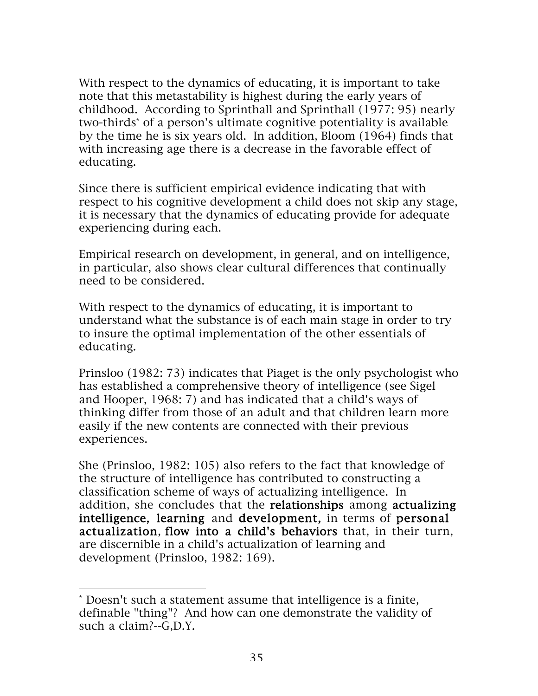With respect to the dynamics of educating, it is important to take note that this metastability is highest during the early years of childhood. According to Sprinthall and Sprinthall (1977: 95) nearly two-thirds\* of a person's ultimate cognitive potentiality is available by the time he is six years old. In addition, Bloom (1964) finds that with increasing age there is a decrease in the favorable effect of educating.

Since there is sufficient empirical evidence indicating that with respect to his cognitive development a child does not skip any stage, it is necessary that the dynamics of educating provide for adequate experiencing during each.

Empirical research on development, in general, and on intelligence, in particular, also shows clear cultural differences that continually need to be considered.

With respect to the dynamics of educating, it is important to understand what the substance is of each main stage in order to try to insure the optimal implementation of the other essentials of educating.

Prinsloo (1982: 73) indicates that Piaget is the only psychologist who has established a comprehensive theory of intelligence (see Sigel and Hooper, 1968: 7) and has indicated that a child's ways of thinking differ from those of an adult and that children learn more easily if the new contents are connected with their previous experiences.

She (Prinsloo, 1982: 105) also refers to the fact that knowledge of the structure of intelligence has contributed to constructing a classification scheme of ways of actualizing intelligence. In addition, she concludes that the relationships among actualizing intelligence, learning and development, in terms of personal actualization, flow into a child's behaviors that, in their turn, are discernible in a child's actualization of learning and development (Prinsloo, 1982: 169).

 $\overline{a}$ 

<sup>\*</sup> Doesn't such a statement assume that intelligence is a finite, definable "thing"? And how can one demonstrate the validity of such a claim?--G,D.Y.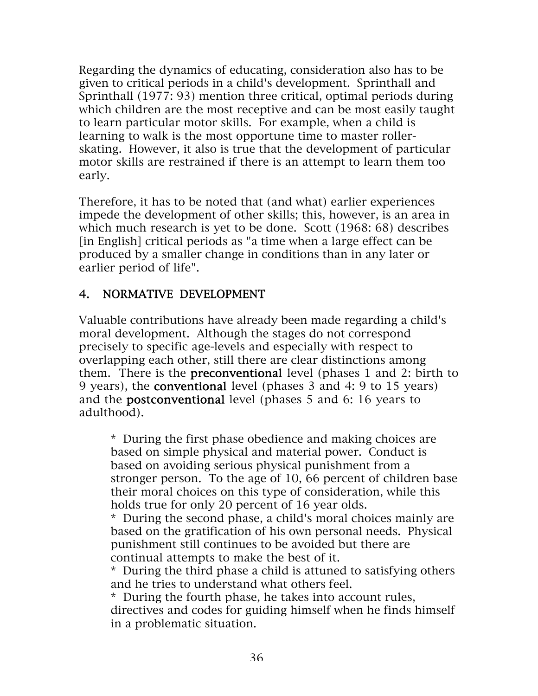Regarding the dynamics of educating, consideration also has to be given to critical periods in a child's development. Sprinthall and Sprinthall (1977: 93) mention three critical, optimal periods during which children are the most receptive and can be most easily taught to learn particular motor skills. For example, when a child is learning to walk is the most opportune time to master rollerskating. However, it also is true that the development of particular motor skills are restrained if there is an attempt to learn them too early.

Therefore, it has to be noted that (and what) earlier experiences impede the development of other skills; this, however, is an area in which much research is yet to be done. Scott (1968: 68) describes [in English] critical periods as "a time when a large effect can be produced by a smaller change in conditions than in any later or earlier period of life".

### 4. NORMATIVE DEVELOPMENT

Valuable contributions have already been made regarding a child's moral development. Although the stages do not correspond precisely to specific age-levels and especially with respect to overlapping each other, still there are clear distinctions among them. There is the preconventional level (phases 1 and 2: birth to 9 years), the conventional level (phases 3 and 4: 9 to 15 years) and the postconventional level (phases 5 and 6: 16 years to adulthood).

\* During the first phase obedience and making choices are based on simple physical and material power. Conduct is based on avoiding serious physical punishment from a stronger person. To the age of 10, 66 percent of children base their moral choices on this type of consideration, while this holds true for only 20 percent of 16 year olds.

\* During the second phase, a child's moral choices mainly are based on the gratification of his own personal needs. Physical punishment still continues to be avoided but there are continual attempts to make the best of it.

\* During the third phase a child is attuned to satisfying others and he tries to understand what others feel.

\* During the fourth phase, he takes into account rules, directives and codes for guiding himself when he finds himself in a problematic situation.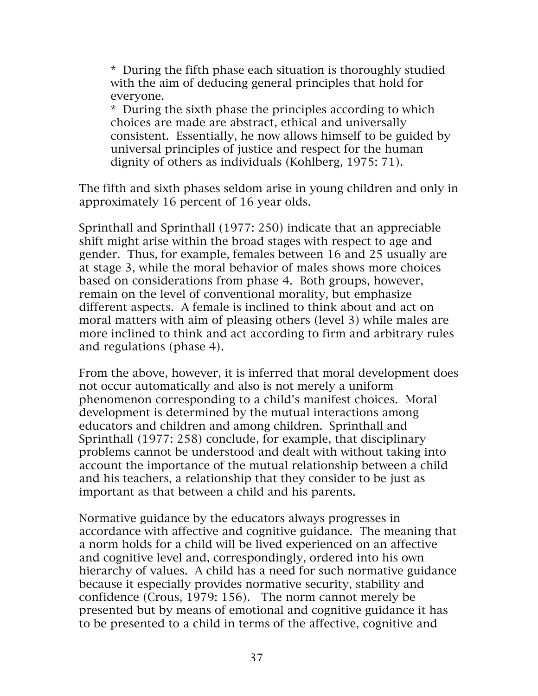\* During the fifth phase each situation is thoroughly studied with the aim of deducing general principles that hold for everyone.

\* During the sixth phase the principles according to which choices are made are abstract, ethical and universally consistent. Essentially, he now allows himself to be guided by universal principles of justice and respect for the human dignity of others as individuals (Kohlberg, 1975: 71).

The fifth and sixth phases seldom arise in young children and only in approximately 16 percent of 16 year olds.

Sprinthall and Sprinthall (1977: 250) indicate that an appreciable shift might arise within the broad stages with respect to age and gender. Thus, for example, females between 16 and 25 usually are at stage 3, while the moral behavior of males shows more choices based on considerations from phase 4. Both groups, however, remain on the level of conventional morality, but emphasize different aspects. A female is inclined to think about and act on moral matters with aim of pleasing others (level 3) while males are more inclined to think and act according to firm and arbitrary rules and regulations (phase 4).

From the above, however, it is inferred that moral development does not occur automatically and also is not merely a uniform phenomenon corresponding to a child's manifest choices. Moral development is determined by the mutual interactions among educators and children and among children. Sprinthall and Sprinthall (1977: 258) conclude, for example, that disciplinary problems cannot be understood and dealt with without taking into account the importance of the mutual relationship between a child and his teachers, a relationship that they consider to be just as important as that between a child and his parents.

Normative guidance by the educators always progresses in accordance with affective and cognitive guidance. The meaning that a norm holds for a child will be lived experienced on an affective and cognitive level and, correspondingly, ordered into his own hierarchy of values. A child has a need for such normative guidance because it especially provides normative security, stability and confidence (Crous, 1979: 156). The norm cannot merely be presented but by means of emotional and cognitive guidance it has to be presented to a child in terms of the affective, cognitive and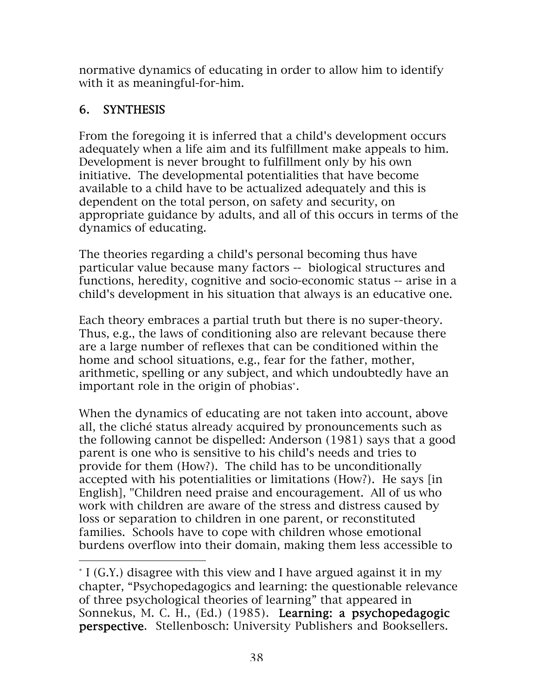normative dynamics of educating in order to allow him to identify with it as meaningful-for-him.

# 6. SYNTHESIS

 $\overline{a}$ 

From the foregoing it is inferred that a child's development occurs adequately when a life aim and its fulfillment make appeals to him. Development is never brought to fulfillment only by his own initiative. The developmental potentialities that have become available to a child have to be actualized adequately and this is dependent on the total person, on safety and security, on appropriate guidance by adults, and all of this occurs in terms of the dynamics of educating.

The theories regarding a child's personal becoming thus have particular value because many factors -- biological structures and functions, heredity, cognitive and socio-economic status -- arise in a child's development in his situation that always is an educative one.

Each theory embraces a partial truth but there is no super-theory. Thus, e.g., the laws of conditioning also are relevant because there are a large number of reflexes that can be conditioned within the home and school situations, e.g., fear for the father, mother, arithmetic, spelling or any subject, and which undoubtedly have an important role in the origin of phobias<sup>∗</sup> .

When the dynamics of educating are not taken into account, above all, the cliché status already acquired by pronouncements such as the following cannot be dispelled: Anderson (1981) says that a good parent is one who is sensitive to his child's needs and tries to provide for them (How?). The child has to be unconditionally accepted with his potentialities or limitations (How?). He says [in English], "Children need praise and encouragement. All of us who work with children are aware of the stress and distress caused by loss or separation to children in one parent, or reconstituted families. Schools have to cope with children whose emotional burdens overflow into their domain, making them less accessible to

<sup>∗</sup> I (G.Y.) disagree with this view and I have argued against it in my chapter, "Psychopedagogics and learning: the questionable relevance of three psychological theories of learning" that appeared in Sonnekus, M. C. H., (Ed.) (1985). Learning: a psychopedagogic perspective. Stellenbosch: University Publishers and Booksellers.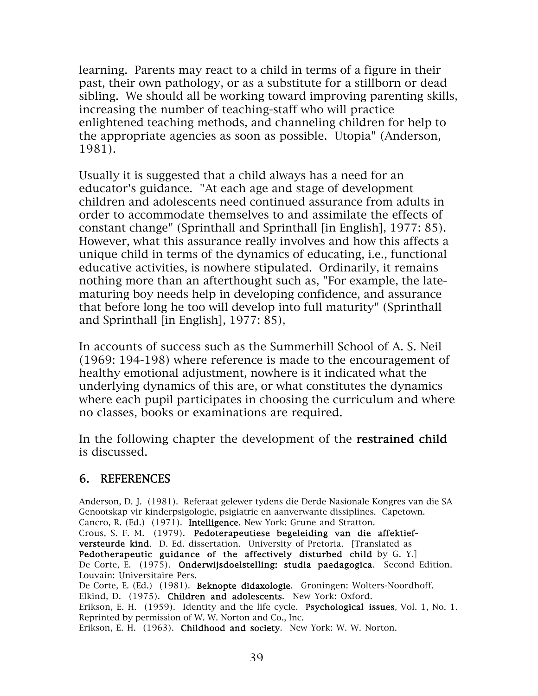learning. Parents may react to a child in terms of a figure in their past, their own pathology, or as a substitute for a stillborn or dead sibling. We should all be working toward improving parenting skills, increasing the number of teaching-staff who will practice enlightened teaching methods, and channeling children for help to the appropriate agencies as soon as possible. Utopia" (Anderson, 1981).

Usually it is suggested that a child always has a need for an educator's guidance. "At each age and stage of development children and adolescents need continued assurance from adults in order to accommodate themselves to and assimilate the effects of constant change" (Sprinthall and Sprinthall [in English], 1977: 85). However, what this assurance really involves and how this affects a unique child in terms of the dynamics of educating, i.e., functional educative activities, is nowhere stipulated. Ordinarily, it remains nothing more than an afterthought such as, "For example, the latematuring boy needs help in developing confidence, and assurance that before long he too will develop into full maturity" (Sprinthall and Sprinthall [in English], 1977: 85),

In accounts of success such as the Summerhill School of A. S. Neil (1969: 194-198) where reference is made to the encouragement of healthy emotional adjustment, nowhere is it indicated what the underlying dynamics of this are, or what constitutes the dynamics where each pupil participates in choosing the curriculum and where no classes, books or examinations are required.

In the following chapter the development of the **restrained child** is discussed.

#### 6. REFERENCES

Anderson, D. J. (1981). Referaat gelewer tydens die Derde Nasionale Kongres van die SA Genootskap vir kinderpsigologie, psigiatrie en aanverwante dissiplines. Capetown. Cancro, R. (Ed.) (1971). Intelligence. New York: Grune and Stratton. Crous, S. F. M. (1979). Pedoterapeutiese begeleiding van die affektiefversteurde kind. D. Ed. dissertation. University of Pretoria. [Translated as Pedotherapeutic guidance of the affectively disturbed child by G. Y.] De Corte, E. (1975). Onderwijsdoelstelling: studia paedagogica. Second Edition. Louvain: Universitaire Pers. De Corte, E. (Ed.) (1981). Beknopte didaxologie. Groningen: Wolters-Noordhoff. Elkind, D. (1975). Children and adolescents. New York: Oxford. Erikson, E. H. (1959). Identity and the life cycle. Psychological issues, Vol. 1, No. 1. Reprinted by permission of W. W. Norton and Co., Inc. Erikson, E. H. (1963). Childhood and society. New York: W. W. Norton.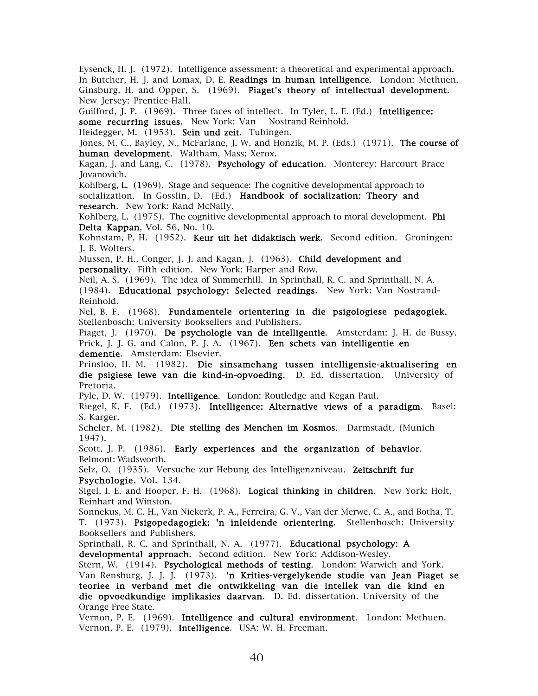Eysenck, H. J. (1972). Intelligence assessment: a theoretical and experimental approach. In Butcher, H. J. and Lomax, D. E. Readings in human intelligence. London: Methuen. Ginsburg, H. and Opper, S. (1969). Piaget's theory of intellectual development. New Jersey: Prentice-Hall.

Guilford, J. P. (1969). Three faces of intellect. In Tyler, L. E. (Ed.) Intelligence: some recurring issues. New York: Van Nostrand Reinhold.

Heidegger, M. (1953). Sein und zeit. Tubingen.

Jones, M. C., Bayley, N., McFarlane, J. W. and Honzik, M. P. (Eds.) (1971). The course of human development. Waltham, Mass: Xerox.

Kagan, J. and Lang, C. (1978). Psychology of education. Monterey: Harcourt Brace Jovanovich.

Kohlberg, L. (1969). Stage and sequence: The cognitive developmental approach to socialization. In Gosslin, D. (Ed.) Handbook of socialization: Theory and research. New York: Rand McNally.

Kohlberg, L. (1975). The cognitive developmental approach to moral development. Phi Delta Kappan, Vol. 56, No. 10.

Kohnstam, P. H. (1952). Keur uit het didaktisch werk. Second edition. Groningen: J. B. Wolters.

Mussen, P. H., Conger, J. J. and Kagan, J. (1963). Child development and personality. Fifth edition. New York: Harper and Row.

Neil, A. S. (1969). The idea of Summerhill. In Sprinthall, R. C. and Sprinthall, N. A. (1984). Educational psychology: Selected readings. New York: Van Nostrand-Reinhold.

Nel, B. F. (1968). Fundamentele orientering in die psigologiese pedagogiek. Stellenbosch: University Booksellers and Publishers.

Piaget, J. (1970). De psychologie van de intelligentie. Amsterdam: J. H. de Bussy. Prick, J. J. G. and Calon, P. J. A. (1967). Een schets van intelligentie en dementie. Amsterdam: Elsevier.

Prinsloo, H. M. (1982). Die sinsamehang tussen intelligensie-aktualisering en die psigiese lewe van die kind-in-opvoeding. D. Ed. dissertation. University of Pretoria.

Pyle, D. W. (1979). Intelligence. London: Routledge and Kegan Paul.

Riegel, K. F. (Ed.) (1973). Intelligence: Alternative views of a paradigm. Basel: S. Karger.

Scheler, M. (1982). Die stelling des Menchen im Kosmos. Darmstadt, (Munich 1947).

Scott, J. P. (1986). Early experiences and the organization of behavior. Belmont: Wadsworth.

Selz, O. (1935). Versuche zur Hebung des Intelligenzniveau. Zeitschrift fur Psychologie, Vol. 134.

Sigel, I. E. and Hooper, F. H. (1968). Logical thinking in children. New York: Holt, Reinhart and Winston.

Sonnekus, M. C. H., Van Niekerk, P. A., Ferreira, G. V., Van der Merwe, C. A., and Botha, T. T. (1973). Psigopedagogiek: 'n inleidende orientering. Stellenbosch: University Booksellers and Publishers.

Sprinthall, R. C. and Sprinthall, N. A. (1977). Educational psychology: A

developmental approach. Second edition. New York: Addison-Wesley.

Stern, W. (1914). Psychological methods of testing. London: Warwich and York. Van Rensburg, J. J. J. (1973). 'n Krities-vergelykende studie van Jean Piaget se teoriee in verband met die ontwikkeling van die intellek van die kind en die opvoedkundige implikasies daarvan. D. Ed. dissertation. University of the Orange Free State.

Vernon, P. E. (1969). Intelligence and cultural environment. London: Methuen. Vernon, P. E. (1979). Intelligence. USA: W. H. Freeman.